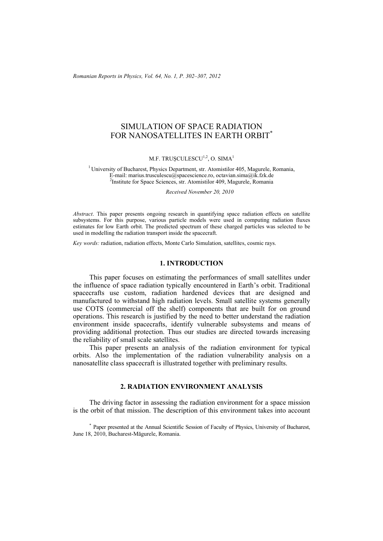*Romanian Reports in Physics, Vol. 64, No. 1, P. 302–307, 2012*

# SIMULATION OF SPACE RADIATION FOR NANOSATELLITES IN EARTH ORBIT<sup>\*</sup>

M.F. TRUȘCULESCU<sup>1,2</sup>, O. SIMA<sup>1</sup>

<sup>1</sup> University of Bucharest, Physics Department, str. Atomistilor 405, Magurele, Romania, E-mail: marius.trusculescu $\hat{\omega}$ spacescience.ro, octavian.sima $\hat{\omega}$ ik.fzk.de <sup>2</sup>Institute for Space Sciences, str. Atomistilor 409, Magurele, Romania

*Received November 20, 2010* 

*Abstract*. This paper presents ongoing research in quantifying space radiation effects on satellite subsystems. For this purpose, various particle models were used in computing radiation fluxes estimates for low Earth orbit. The predicted spectrum of these charged particles was selected to be used in modelling the radiation transport inside the spacecraft.

*Key words:* radiation, radiation effects, Monte Carlo Simulation, satellites, cosmic rays.

### **1. INTRODUCTION**

This paper focuses on estimating the performances of small satellites under the influence of space radiation typically encountered in Earth's orbit. Traditional spacecrafts use custom, radiation hardened devices that are designed and manufactured to withstand high radiation levels. Small satellite systems generally use COTS (commercial off the shelf) components that are built for on ground operations. This research is justified by the need to better understand the radiation environment inside spacecrafts, identify vulnerable subsystems and means of providing additional protection. Thus our studies are directed towards increasing the reliability of small scale satellites.

This paper presents an analysis of the radiation environment for typical orbits. Also the implementation of the radiation vulnerability analysis on a nanosatellite class spacecraft is illustrated together with preliminary results.

### **2. RADIATION ENVIRONMENT ANALYSIS**

The driving factor in assessing the radiation environment for a space mission is the orbit of that mission. The description of this environment takes into account

\* Paper presented at the Annual Scientific Session of Faculty of Physics, University of Bucharest, June 18, 2010, Bucharest-Măgurele, Romania.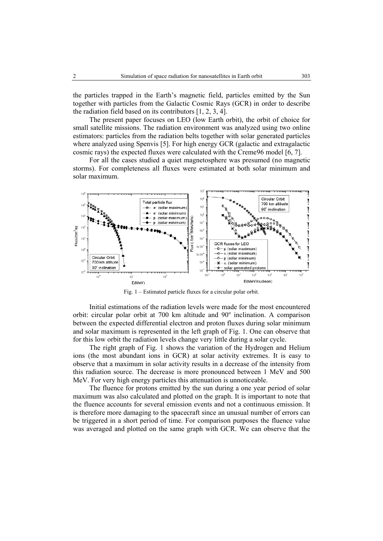the particles trapped in the Earth's magnetic field, particles emitted by the Sun together with particles from the Galactic Cosmic Rays (GCR) in order to describe the radiation field based on its contributors [1, 2, 3, 4].

The present paper focuses on LEO (low Earth orbit), the orbit of choice for small satellite missions. The radiation environment was analyzed using two online estimators: particles from the radiation belts together with solar generated particles where analyzed using Spenvis [5]. For high energy GCR (galactic and extragalactic cosmic rays) the expected fluxes were calculated with the Creme96 model [6, 7].

For all the cases studied a quiet magnetosphere was presumed (no magnetic storms). For completeness all fluxes were estimated at both solar minimum and solar maximum.



Fig. 1 – Estimated particle fluxes for a circular polar orbit.

Initial estimations of the radiation levels were made for the most encountered orbit: circular polar orbit at  $700 \text{ km}$  altitude and  $90^\circ$  inclination. A comparison between the expected differential electron and proton fluxes during solar minimum and solar maximum is represented in the left graph of Fig. 1. One can observe that for this low orbit the radiation levels change very little during a solar cycle.

The right graph of Fig. 1 shows the variation of the Hydrogen and Helium ions (the most abundant ions in GCR) at solar activity extremes. It is easy to observe that a maximum in solar activity results in a decrease of the intensity from this radiation source. The decrease is more pronounced between 1 MeV and 500 MeV. For very high energy particles this attenuation is unnoticeable.

The fluence for protons emitted by the sun during a one year period of solar maximum was also calculated and plotted on the graph. It is important to note that the fluence accounts for several emission events and not a continuous emission. It is therefore more damaging to the spacecraft since an unusual number of errors can be triggered in a short period of time. For comparison purposes the fluence value was averaged and plotted on the same graph with GCR. We can observe that the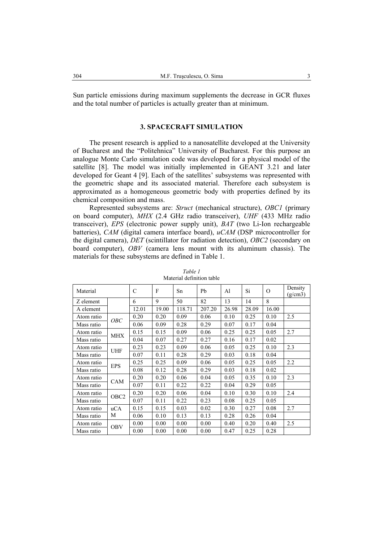Sun particle emissions during maximum supplements the decrease in GCR fluxes and the total number of particles is actually greater than at minimum.

### **3. SPACECRAFT SIMULATION**

The present research is applied to a nanosatellite developed at the University of Bucharest and the "Politehnica" University of Bucharest. For this purpose an analogue Monte Carlo simulation code was developed for a physical model of the satellite [8]. The model was initially implemented in GEANT 3.21 and later developed for Geant 4 [9]. Each of the satellites' subsystems was represented with the geometric shape and its associated material. Therefore each subsystem is approximated as a homogeneous geometric body with properties defined by its chemical composition and mass.

Represented subsystems are: *Struct* (mechanical structure), *OBC1* (primary on board computer), *MHX* (2.4 GHz radio transceiver), *UHF* (433 MHz radio transceiver), *EPS* (electronic power supply unit), *BAT* (two Li-Ion rechargeable batteries), *CAM* (digital camera interface board), *uCAM* (DSP microcontroller for the digital camera), *DET* (scintillator for radiation detection), *OBC2* (secondary on board computer), *OBV* (camera lens mount with its aluminum chassis). The materials for these subsystems are defined in Table 1.

| Material   |                  | $\overline{C}$ | F     | Sn     | Pb     | A <sub>1</sub> | Si    | $\Omega$ | Density<br>(g/cm3) |
|------------|------------------|----------------|-------|--------|--------|----------------|-------|----------|--------------------|
| Z element  |                  | 6              | 9     | 50     | 82     | 13             | 14    | 8        |                    |
| A element  |                  | 12.01          | 19.00 | 118.71 | 207.20 | 26.98          | 28.09 | 16.00    |                    |
| Atom ratio | OBC              | 0.20           | 0.20  | 0.09   | 0.06   | 0.10           | 0.25  | 0.10     | 2.5                |
| Mass ratio |                  | 0.06           | 0.09  | 0.28   | 0.29   | 0.07           | 0.17  | 0.04     |                    |
| Atom ratio | <b>MHX</b>       | 0.15           | 0.15  | 0.09   | 0.06   | 0.25           | 0.25  | 0.05     | 2.7                |
| Mass ratio |                  | 0.04           | 0.07  | 0.27   | 0.27   | 0.16           | 0.17  | 0.02     |                    |
| Atom ratio | <b>UHF</b>       | 0.23           | 0.23  | 0.09   | 0.06   | 0.05           | 0.25  | 0.10     | 2.3                |
| Mass ratio |                  | 0.07           | 0.11  | 0.28   | 0.29   | 0.03           | 0.18  | 0.04     |                    |
| Atom ratio | <b>EPS</b>       | 0.25           | 0.25  | 0.09   | 0.06   | 0.05           | 0.25  | 0.05     | 2.2                |
| Mass ratio |                  | 0.08           | 0.12  | 0.28   | 0.29   | 0.03           | 0.18  | 0.02     |                    |
| Atom ratio | CAM              | 0.20           | 0.20  | 0.06   | 0.04   | 0.05           | 0.35  | 0.10     | 2.3                |
| Mass ratio |                  | 0.07           | 0.11  | 0.22   | 0.22   | 0.04           | 0.29  | 0.05     |                    |
| Atom ratio | OBC <sub>2</sub> | 0.20           | 0.20  | 0.06   | 0.04   | 0.10           | 0.30  | 0.10     | 2.4                |
| Mass ratio |                  | 0.07           | 0.11  | 0.22   | 0.23   | 0.08           | 0.25  | 0.05     |                    |
| Atom ratio | uCA              | 0.15           | 0.15  | 0.03   | 0.02   | 0.30           | 0.27  | 0.08     | 2.7                |
| Mass ratio | М                | 0.06           | 0.10  | 0.13   | 0.13   | 0.28           | 0.26  | 0.04     |                    |
| Atom ratio | <b>OBV</b>       | 0.00           | 0.00  | 0.00   | 0.00   | 0.40           | 0.20  | 0.40     | 2.5                |
| Mass ratio |                  | 0.00           | 0.00  | 0.00   | 0.00   | 0.47           | 0.25  | 0.28     |                    |

*Table 1* Material definition table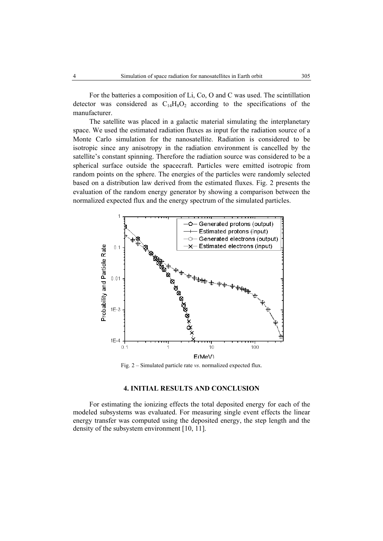For the batteries a composition of Li, Co, O and C was used. The scintillation detector was considered as  $C_{14}H_8O_2$  according to the specifications of the manufacturer.

The satellite was placed in a galactic material simulating the interplanetary space. We used the estimated radiation fluxes as input for the radiation source of a Monte Carlo simulation for the nanosatellite. Radiation is considered to be isotropic since any anisotropy in the radiation environment is cancelled by the satellite's constant spinning. Therefore the radiation source was considered to be a spherical surface outside the spacecraft. Particles were emitted isotropic from random points on the sphere. The energies of the particles were randomly selected based on a distribution law derived from the estimated fluxes. Fig. 2 presents the evaluation of the random energy generator by showing a comparison between the normalized expected flux and the energy spectrum of the simulated particles.



Fig. 2 – Simulated particle rate *vs*. normalized expected flux.

## **4. INITIAL RESULTS AND CONCLUSION**

For estimating the ionizing effects the total deposited energy for each of the modeled subsystems was evaluated. For measuring single event effects the linear energy transfer was computed using the deposited energy, the step length and the density of the subsystem environment [10, 11].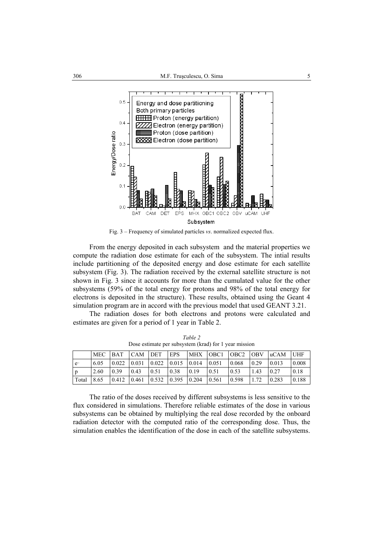

Fig. 3 – Frequency of simulated particles *vs*. normalized expected flux.

From the energy deposited in each subsystem and the material properties we compute the radiation dose estimate for each of the subsystem. The intial results include partitioning of the deposited energy and dose estimate for each satellite subsystem (Fig. 3). The radiation received by the external satellite structure is not shown in Fig. 3 since it accounts for more than the cumulated value for the other subsystems (59% of the total energy for protons and 98% of the total energy for electrons is deposited in the structure). These results, obtained using the Geant 4 simulation program are in accord with the previous model that used GEANT 3.21.

The radiation doses for both electrons and protons were calculated and estimates are given for a period of 1 year in Table 2.

|       |      | MEC BAT CAM DET |       |                     | EPS  |                                                               |       |       |      | MHX OBC1 OBC2 OBV uCAM UHF |       |
|-------|------|-----------------|-------|---------------------|------|---------------------------------------------------------------|-------|-------|------|----------------------------|-------|
| $e-$  | 6.05 | 0.022           |       |                     |      | $\vert 0.031 \vert 0.022 \vert 0.015 \vert 0.014 \vert 0.051$ |       | 0.068 | 0.29 | 0.013                      | 0.008 |
| p     | 2.60 | 0.39            | 0.43  | 0.51                | 0.38 | 0.19                                                          | 0.51  | 0.53  | 1.43 | 0.27                       | 0.18  |
| Total | 8.65 | 0.412           | 0.461 | $0.532 \quad 0.395$ |      | 0.204                                                         | 0.561 | 0.598 | 1.72 | 0.283                      | 0.188 |

*Table 2*  Dose estimate per subsystem (krad) for 1 year mission

The ratio of the doses received by different subsystems is less sensitive to the flux considered in simulations. Therefore reliable estimates of the dose in various subsystems can be obtained by multiplying the real dose recorded by the onboard radiation detector with the computed ratio of the corresponding dose. Thus, the simulation enables the identification of the dose in each of the satellite subsystems.